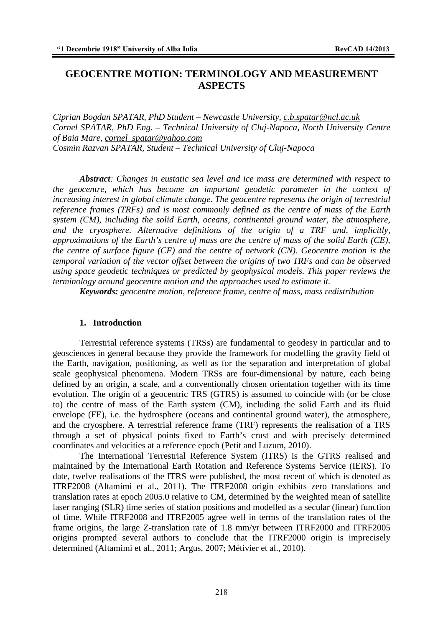# **GEOCENTRE MOTION: TERMINOLOGY AND MEASUREMENT ASPECTS**

*Ciprian Bogdan SPATAR, PhD Student – Newcastle University, c.b.spatar@ncl.ac.uk Cornel SPATAR, PhD Eng. – Technical University of Cluj-Napoca, North University Centre of Baia Mare, cornel\_spatar@yahoo.com Cosmin Razvan SPATAR, Student – Technical University of Cluj-Napoca* 

*Abstract: Changes in eustatic sea level and ice mass are determined with respect to the geocentre, which has become an important geodetic parameter in the context of increasing interest in global climate change. The geocentre represents the origin of terrestrial reference frames (TRFs) and is most commonly defined as the centre of mass of the Earth system (CM), including the solid Earth, oceans, continental ground water, the atmosphere, and the cryosphere. Alternative definitions of the origin of a TRF and, implicitly, approximations of the Earth's centre of mass are the centre of mass of the solid Earth (CE), the centre of surface figure (CF) and the centre of network (CN). Geocentre motion is the temporal variation of the vector offset between the origins of two TRFs and can be observed using space geodetic techniques or predicted by geophysical models. This paper reviews the terminology around geocentre motion and the approaches used to estimate it.*

*Keywords: geocentre motion, reference frame, centre of mass, mass redistribution* 

## **1. Introduction**

 Terrestrial reference systems (TRSs) are fundamental to geodesy in particular and to geosciences in general because they provide the framework for modelling the gravity field of the Earth, navigation, positioning, as well as for the separation and interpretation of global scale geophysical phenomena. Modern TRSs are four-dimensional by nature, each being defined by an origin, a scale, and a conventionally chosen orientation together with its time evolution. The origin of a geocentric TRS (GTRS) is assumed to coincide with (or be close to) the centre of mass of the Earth system (CM), including the solid Earth and its fluid envelope (FE), i.e. the hydrosphere (oceans and continental ground water), the atmosphere, and the cryosphere. A terrestrial reference frame (TRF) represents the realisation of a TRS through a set of physical points fixed to Earth's crust and with precisely determined coordinates and velocities at a reference epoch (Petit and Luzum, 2010).

 The International Terrestrial Reference System (ITRS) is the GTRS realised and maintained by the International Earth Rotation and Reference Systems Service (IERS). To date, twelve realisations of the ITRS were published, the most recent of which is denoted as ITRF2008 (Altamimi et al., 2011). The ITRF2008 origin exhibits zero translations and translation rates at epoch 2005.0 relative to CM, determined by the weighted mean of satellite laser ranging (SLR) time series of station positions and modelled as a secular (linear) function of time. While ITRF2008 and ITRF2005 agree well in terms of the translation rates of the frame origins, the large Z-translation rate of 1.8 mm/yr between ITRF2000 and ITRF2005 origins prompted several authors to conclude that the ITRF2000 origin is imprecisely determined (Altamimi et al., 2011; Argus, 2007; Métivier et al., 2010).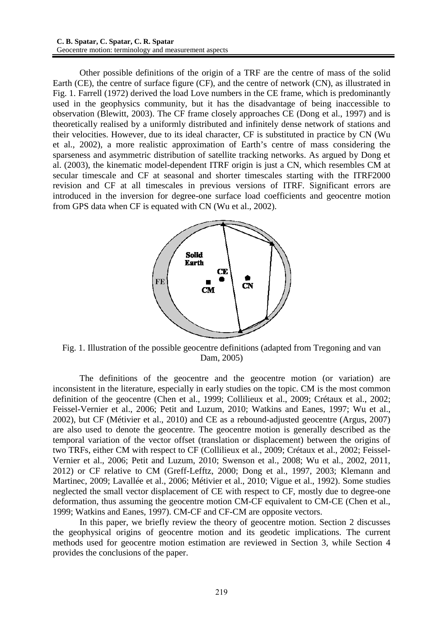Other possible definitions of the origin of a TRF are the centre of mass of the solid Earth (CE), the centre of surface figure (CF), and the centre of network (CN), as illustrated in Fig. 1. Farrell (1972) derived the load Love numbers in the CE frame, which is predominantly used in the geophysics community, but it has the disadvantage of being inaccessible to observation (Blewitt, 2003). The CF frame closely approaches CE (Dong et al., 1997) and is theoretically realised by a uniformly distributed and infinitely dense network of stations and their velocities. However, due to its ideal character, CF is substituted in practice by CN (Wu et al., 2002), a more realistic approximation of Earth's centre of mass considering the sparseness and asymmetric distribution of satellite tracking networks. As argued by Dong et al. (2003), the kinematic model-dependent ITRF origin is just a CN, which resembles CM at secular timescale and CF at seasonal and shorter timescales starting with the ITRF2000 revision and CF at all timescales in previous versions of ITRF. Significant errors are introduced in the inversion for degree-one surface load coefficients and geocentre motion from GPS data when CF is equated with CN (Wu et al., 2002).



Fig. 1. Illustration of the possible geocentre definitions (adapted from Tregoning and van Dam, 2005)

 The definitions of the geocentre and the geocentre motion (or variation) are inconsistent in the literature, especially in early studies on the topic. CM is the most common definition of the geocentre (Chen et al., 1999; Collilieux et al., 2009; Crétaux et al., 2002; Feissel-Vernier et al., 2006; Petit and Luzum, 2010; Watkins and Eanes, 1997; Wu et al., 2002), but CF (Métivier et al., 2010) and CE as a rebound-adjusted geocentre (Argus, 2007) are also used to denote the geocentre. The geocentre motion is generally described as the temporal variation of the vector offset (translation or displacement) between the origins of two TRFs, either CM with respect to CF (Collilieux et al., 2009; Crétaux et al., 2002; Feissel-Vernier et al., 2006; Petit and Luzum, 2010; Swenson et al., 2008; Wu et al., 2002, 2011, 2012) or CF relative to CM (Greff-Lefftz, 2000; Dong et al., 1997, 2003; Klemann and Martinec, 2009; Lavallée et al., 2006; Métivier et al., 2010; Vigue et al., 1992). Some studies neglected the small vector displacement of CE with respect to CF, mostly due to degree-one deformation, thus assuming the geocentre motion CM-CF equivalent to CM-CE (Chen et al., 1999; Watkins and Eanes, 1997). CM-CF and CF-CM are opposite vectors.

 In this paper, we briefly review the theory of geocentre motion. Section 2 discusses the geophysical origins of geocentre motion and its geodetic implications. The current methods used for geocentre motion estimation are reviewed in Section 3, while Section 4 provides the conclusions of the paper.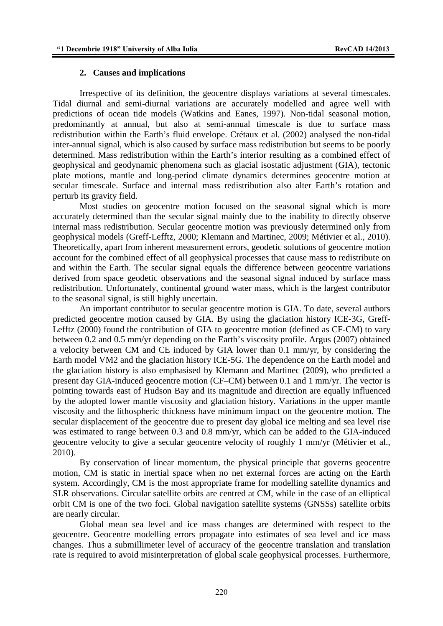#### **2. Causes and implications**

 Irrespective of its definition, the geocentre displays variations at several timescales. Tidal diurnal and semi-diurnal variations are accurately modelled and agree well with predictions of ocean tide models (Watkins and Eanes, 1997). Non-tidal seasonal motion, predominantly at annual, but also at semi-annual timescale is due to surface mass redistribution within the Earth's fluid envelope. Crétaux et al. (2002) analysed the non-tidal inter-annual signal, which is also caused by surface mass redistribution but seems to be poorly determined. Mass redistribution within the Earth's interior resulting as a combined effect of geophysical and geodynamic phenomena such as glacial isostatic adjustment (GIA), tectonic plate motions, mantle and long-period climate dynamics determines geocentre motion at secular timescale. Surface and internal mass redistribution also alter Earth's rotation and perturb its gravity field.

 Most studies on geocentre motion focused on the seasonal signal which is more accurately determined than the secular signal mainly due to the inability to directly observe internal mass redistribution. Secular geocentre motion was previously determined only from geophysical models (Greff-Lefftz, 2000; Klemann and Martinec, 2009; Métivier et al., 2010). Theoretically, apart from inherent measurement errors, geodetic solutions of geocentre motion account for the combined effect of all geophysical processes that cause mass to redistribute on and within the Earth. The secular signal equals the difference between geocentre variations derived from space geodetic observations and the seasonal signal induced by surface mass redistribution. Unfortunately, continental ground water mass, which is the largest contributor to the seasonal signal, is still highly uncertain.

 An important contributor to secular geocentre motion is GIA. To date, several authors predicted geocentre motion caused by GIA. By using the glaciation history ICE-3G, Greff-Lefftz (2000) found the contribution of GIA to geocentre motion (defined as CF-CM) to vary between 0.2 and 0.5 mm/yr depending on the Earth's viscosity profile. Argus (2007) obtained a velocity between CM and CE induced by GIA lower than 0.1 mm/yr, by considering the Earth model VM2 and the glaciation history ICE-5G. The dependence on the Earth model and the glaciation history is also emphasised by Klemann and Martinec (2009), who predicted a present day GIA-induced geocentre motion (CF–CM) between 0.1 and 1 mm/yr. The vector is pointing towards east of Hudson Bay and its magnitude and direction are equally influenced by the adopted lower mantle viscosity and glaciation history. Variations in the upper mantle viscosity and the lithospheric thickness have minimum impact on the geocentre motion. The secular displacement of the geocentre due to present day global ice melting and sea level rise was estimated to range between 0.3 and 0.8 mm/yr, which can be added to the GIA-induced geocentre velocity to give a secular geocentre velocity of roughly 1 mm/yr (Métivier et al., 2010).

 By conservation of linear momentum, the physical principle that governs geocentre motion, CM is static in inertial space when no net external forces are acting on the Earth system. Accordingly, CM is the most appropriate frame for modelling satellite dynamics and SLR observations. Circular satellite orbits are centred at CM, while in the case of an elliptical orbit CM is one of the two foci. Global navigation satellite systems (GNSSs) satellite orbits are nearly circular.

 Global mean sea level and ice mass changes are determined with respect to the geocentre. Geocentre modelling errors propagate into estimates of sea level and ice mass changes. Thus a submillimeter level of accuracy of the geocentre translation and translation rate is required to avoid misinterpretation of global scale geophysical processes. Furthermore,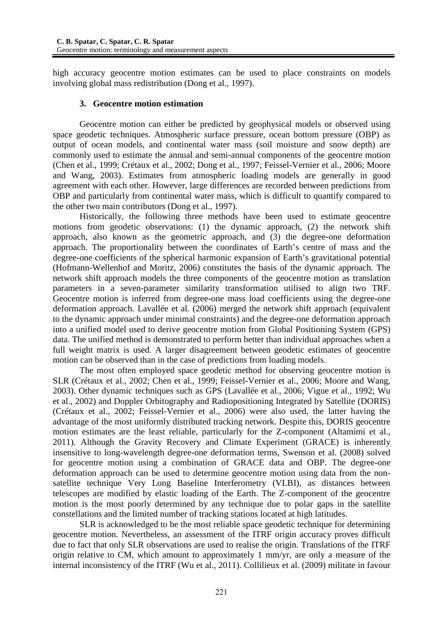high accuracy geocentre motion estimates can be used to place constraints on models involving global mass redistribution (Dong et al., 1997).

## **3. Geocentre motion estimation**

 Geocentre motion can either be predicted by geophysical models or observed using space geodetic techniques. Atmospheric surface pressure, ocean bottom pressure (OBP) as output of ocean models, and continental water mass (soil moisture and snow depth) are commonly used to estimate the annual and semi-annual components of the geocentre motion (Chen et al., 1999; Crétaux et al., 2002; Dong et al., 1997; Feissel-Vernier et al., 2006; Moore and Wang, 2003). Estimates from atmospheric loading models are generally in good agreement with each other. However, large differences are recorded between predictions from OBP and particularly from continental water mass, which is difficult to quantify compared to the other two main contributors (Dong et al., 1997).

 Historically, the following three methods have been used to estimate geocentre motions from geodetic observations: (1) the dynamic approach, (2) the network shift approach, also known as the geometric approach, and (3) the degree-one deformation approach. The proportionality between the coordinates of Earth's centre of mass and the degree-one coefficients of the spherical harmonic expansion of Earth's gravitational potential (Hofmann-Wellenhof and Moritz, 2006) constitutes the basis of the dynamic approach. The network shift approach models the three components of the geocentre motion as translation parameters in a seven-parameter similarity transformation utilised to align two TRF. Geocentre motion is inferred from degree-one mass load coefficients using the degree-one deformation approach. Lavallée et al. (2006) merged the network shift approach (equivalent to the dynamic approach under minimal constraints) and the degree-one deformation approach into a unified model used to derive geocentre motion from Global Positioning System (GPS) data. The unified method is demonstrated to perform better than individual approaches when a full weight matrix is used. A larger disagreement between geodetic estimates of geocentre motion can be observed than in the case of predictions from loading models.

 The most often employed space geodetic method for observing geocentre motion is SLR (Crétaux et al., 2002; Chen et al., 1999; Feissel-Vernier et al., 2006; Moore and Wang, 2003). Other dynamic techniques such as GPS (Lavallée et al., 2006; Vigue et al., 1992; Wu et al., 2002) and Doppler Orbitography and Radiopositioning Integrated by Satellite (DORIS) (Crétaux et al., 2002; Feissel-Vernier et al., 2006) were also used, the latter having the advantage of the most uniformly distributed tracking network. Despite this, DORIS geocentre motion estimates are the least reliable, particularly for the Z-component (Altamimi et al., 2011). Although the Gravity Recovery and Climate Experiment (GRACE) is inherently insensitive to long-wavelength degree-one deformation terms, Swenson et al. (2008) solved for geocentre motion using a combination of GRACE data and OBP. The degree-one deformation approach can be used to determine geocentre motion using data from the nonsatellite technique Very Long Baseline Interferometry (VLBI), as distances between telescopes are modified by elastic loading of the Earth. The Z-component of the geocentre motion is the most poorly determined by any technique due to polar gaps in the satellite constellations and the limited number of tracking stations located at high latitudes.

 SLR is acknowledged to be the most reliable space geodetic technique for determining geocentre motion. Nevertheless, an assessment of the ITRF origin accuracy proves difficult due to fact that only SLR observations are used to realise the origin. Translations of the ITRF origin relative to CM, which amount to approximately 1 mm/yr, are only a measure of the internal inconsistency of the ITRF (Wu et al., 2011). Collilieux et al. (2009) militate in favour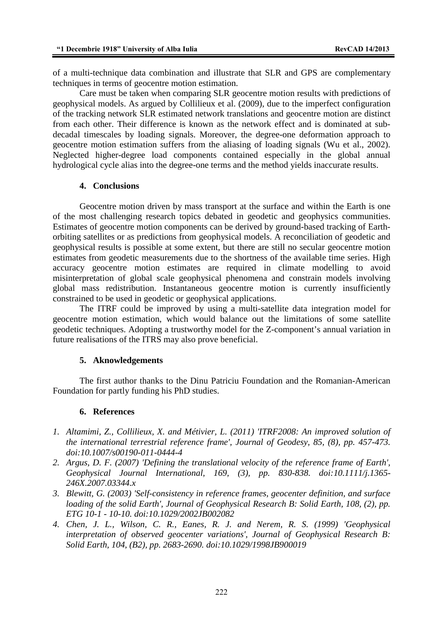of a multi-technique data combination and illustrate that SLR and GPS are complementary techniques in terms of geocentre motion estimation.

 Care must be taken when comparing SLR geocentre motion results with predictions of geophysical models. As argued by Collilieux et al. (2009), due to the imperfect configuration of the tracking network SLR estimated network translations and geocentre motion are distinct from each other. Their difference is known as the network effect and is dominated at subdecadal timescales by loading signals. Moreover, the degree-one deformation approach to geocentre motion estimation suffers from the aliasing of loading signals (Wu et al., 2002). Neglected higher-degree load components contained especially in the global annual hydrological cycle alias into the degree-one terms and the method yields inaccurate results.

#### **4. Conclusions**

Geocentre motion driven by mass transport at the surface and within the Earth is one of the most challenging research topics debated in geodetic and geophysics communities. Estimates of geocentre motion components can be derived by ground-based tracking of Earthorbiting satellites or as predictions from geophysical models. A reconciliation of geodetic and geophysical results is possible at some extent, but there are still no secular geocentre motion estimates from geodetic measurements due to the shortness of the available time series. High accuracy geocentre motion estimates are required in climate modelling to avoid misinterpretation of global scale geophysical phenomena and constrain models involving global mass redistribution. Instantaneous geocentre motion is currently insufficiently constrained to be used in geodetic or geophysical applications.

The ITRF could be improved by using a multi-satellite data integration model for geocentre motion estimation, which would balance out the limitations of some satellite geodetic techniques. Adopting a trustworthy model for the Z-component's annual variation in future realisations of the ITRS may also prove beneficial.

#### **5. Aknowledgements**

The first author thanks to the Dinu Patriciu Foundation and the Romanian-American Foundation for partly funding his PhD studies.

# **6. References**

- *1. Altamimi, Z., Collilieux, X. and Métivier, L. (2011) 'ITRF2008: An improved solution of the international terrestrial reference frame', Journal of Geodesy, 85, (8), pp. 457-473. doi:10.1007/s00190-011-0444-4*
- *2. Argus, D. F. (2007) 'Defining the translational velocity of the reference frame of Earth', Geophysical Journal International, 169, (3), pp. 830-838. doi:10.1111/j.1365- 246X.2007.03344.x*
- *3. Blewitt, G. (2003) 'Self-consistency in reference frames, geocenter definition, and surface loading of the solid Earth', Journal of Geophysical Research B: Solid Earth, 108, (2), pp. ETG 10-1 - 10-10. doi:10.1029/2002JB002082*
- *4. Chen, J. L., Wilson, C. R., Eanes, R. J. and Nerem, R. S. (1999) 'Geophysical interpretation of observed geocenter variations', Journal of Geophysical Research B: Solid Earth, 104, (B2), pp. 2683-2690. doi:10.1029/1998JB900019*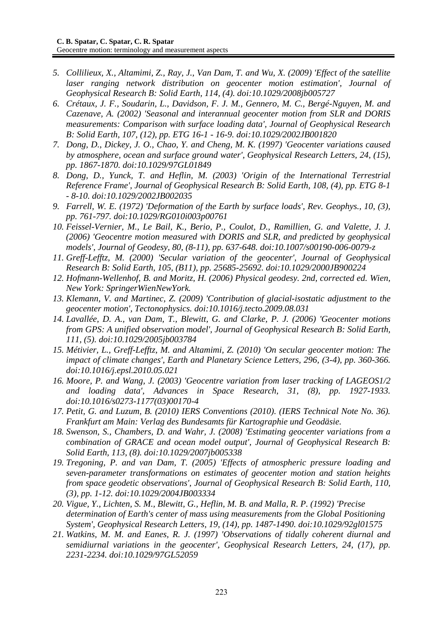- *5. Collilieux, X., Altamimi, Z., Ray, J., Van Dam, T. and Wu, X. (2009) 'Effect of the satellite laser ranging network distribution on geocenter motion estimation', Journal of Geophysical Research B: Solid Earth, 114, (4). doi:10.1029/2008jb005727*
- *6. Crétaux, J. F., Soudarin, L., Davidson, F. J. M., Gennero, M. C., Bergé-Nguyen, M. and Cazenave, A. (2002) 'Seasonal and interannual geocenter motion from SLR and DORIS measurements: Comparison with surface loading data', Journal of Geophysical Research B: Solid Earth, 107, (12), pp. ETG 16-1 - 16-9. doi:10.1029/2002JB001820*
- *7. Dong, D., Dickey, J. O., Chao, Y. and Cheng, M. K. (1997) 'Geocenter variations caused by atmosphere, ocean and surface ground water', Geophysical Research Letters, 24, (15), pp. 1867-1870. doi:10.1029/97GL01849*
- *8. Dong, D., Yunck, T. and Heflin, M. (2003) 'Origin of the International Terrestrial Reference Frame', Journal of Geophysical Research B: Solid Earth, 108, (4), pp. ETG 8-1 - 8-10. doi:10.1029/2002JB002035*
- *9. Farrell, W. E. (1972) 'Deformation of the Earth by surface loads', Rev. Geophys., 10, (3), pp. 761-797. doi:10.1029/RG010i003p00761*
- *10. Feissel-Vernier, M., Le Bail, K., Berio, P., Coulot, D., Ramillien, G. and Valette, J. J. (2006) 'Geocentre motion measured with DORIS and SLR, and predicted by geophysical models', Journal of Geodesy, 80, (8-11), pp. 637-648. doi:10.1007/s00190-006-0079-z*
- *11. Greff-Lefftz, M. (2000) 'Secular variation of the geocenter', Journal of Geophysical Research B: Solid Earth, 105, (B11), pp. 25685-25692. doi:10.1029/2000JB900224*
- *12. Hofmann-Wellenhof, B. and Moritz, H. (2006) Physical geodesy. 2nd, corrected ed. Wien, New York: SpringerWienNewYork.*
- *13. Klemann, V. and Martinec, Z. (2009) 'Contribution of glacial-isostatic adjustment to the geocenter motion', Tectonophysics. doi:10.1016/j.tecto.2009.08.031*
- *14. Lavallée, D. A., van Dam, T., Blewitt, G. and Clarke, P. J. (2006) 'Geocenter motions from GPS: A unified observation model', Journal of Geophysical Research B: Solid Earth, 111, (5). doi:10.1029/2005jb003784*
- *15. Métivier, L., Greff-Lefftz, M. and Altamimi, Z. (2010) 'On secular geocenter motion: The impact of climate changes', Earth and Planetary Science Letters, 296, (3-4), pp. 360-366. doi:10.1016/j.epsl.2010.05.021*
- *16. Moore, P. and Wang, J. (2003) 'Geocentre variation from laser tracking of LAGEOS1/2 and loading data', Advances in Space Research, 31, (8), pp. 1927-1933. doi:10.1016/s0273-1177(03)00170-4*
- *17. Petit, G. and Luzum, B. (2010) IERS Conventions (2010). (IERS Technical Note No. 36). Frankfurt am Main: Verlag des Bundesamts für Kartographie und Geodäsie.*
- *18. Swenson, S., Chambers, D. and Wahr, J. (2008) 'Estimating geocenter variations from a combination of GRACE and ocean model output', Journal of Geophysical Research B: Solid Earth, 113, (8). doi:10.1029/2007jb005338*
- *19. Tregoning, P. and van Dam, T. (2005) 'Effects of atmospheric pressure loading and seven-parameter transformations on estimates of geocenter motion and station heights from space geodetic observations', Journal of Geophysical Research B: Solid Earth, 110, (3), pp. 1-12. doi:10.1029/2004JB003334*
- *20. Vigue, Y., Lichten, S. M., Blewitt, G., Heflin, M. B. and Malla, R. P. (1992) 'Precise determination of Earth's center of mass using measurements from the Global Positioning System', Geophysical Research Letters, 19, (14), pp. 1487-1490. doi:10.1029/92gl01575*
- *21. Watkins, M. M. and Eanes, R. J. (1997) 'Observations of tidally coherent diurnal and semidiurnal variations in the geocenter', Geophysical Research Letters, 24, (17), pp. 2231-2234. doi:10.1029/97GL52059*